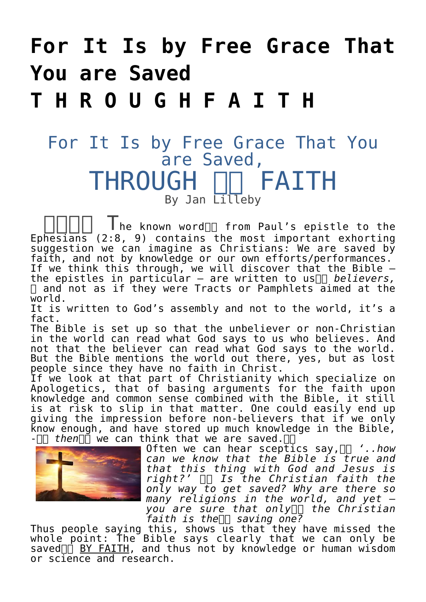## **[For It Is by Free Grace That](https://www.gracepano.com/language/en/2022/05/29/for-it-is-by-free-grace-that-you-are-savedt-h-r-o-u-g-h-f-a-i-t-h/) [You are Saved](https://www.gracepano.com/language/en/2022/05/29/for-it-is-by-free-grace-that-you-are-savedt-h-r-o-u-g-h-f-a-i-t-h/)**

**[T H R O U G H F A I T H](https://www.gracepano.com/language/en/2022/05/29/for-it-is-by-free-grace-that-you-are-savedt-h-r-o-u-g-h-f-a-i-t-h/)**

## For It Is by Free Grace That You are Saved, THROUGH ON FAITH By Jan Lilleby

 $\blacksquare$  he known word $\blacksquare$  from Paul's epistle to the Ephesians (2:8, 9) contains the most important exhorting suggestion we can imagine as Christians: We are saved by faith, and not by knowledge or our own efforts/performances. If we think this through, we will discover that the Bible – the epistles in particular  $-$  are written to us $\Box \Box$  believers, and not as if they were Tracts or Pamphlets aimed at the world.

It is written to God's assembly and not to the world, it's a fact.

The Bible is set up so that the unbeliever or non-Christian in the world can read what God says to us who believes. And not that the believer can read what God says to the world. But the Bible mentions the world out there, yes, but as lost people since they have no faith in Christ.

If we look at that part of Christianity which specialize on Apologetics, that of basing arguments for the faith upon knowledge and common sense combined with the Bible, it still is at risk to slip in that matter. One could easily end up giving the impression before non-believers that if we only know enough, and have stored up much knowledge in the Bible,  $-I$  then  $\Box$  we can think that we are saved.  $\Box$ 



Often we can hear sceptics say, *'..how can we know that the Bible is true and that this thing with God and Jesus is right?' Is the Christian faith the only way to get saved? Why are there so many religions in the world, and yet – you are sure that only the Christian faith is thecome?* 

Thus people saying this, shows us that they have missed the whole point: The Bible says clearly that we can only be saved  $\Box$  BY FAITH, and thus not by knowledge or human wisdom or science and research.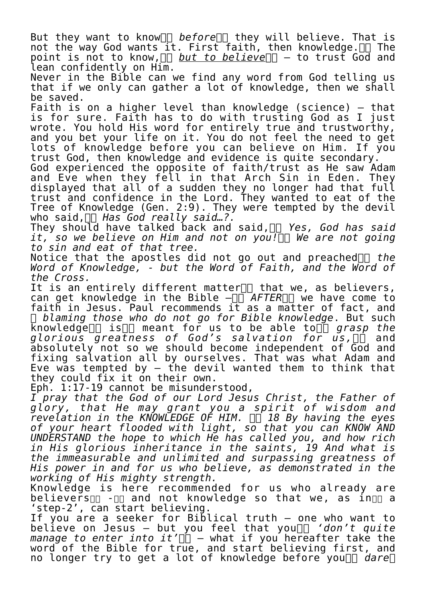But they want to know *before* they will believe. That is not the way God wants it. First faith, then knowledge.  $\Box$  The point is not to know,  $\ln$  but to believe  $\ln$  - to trust God and lean confidently on Him.

Never in the Bible can we find any word from God telling us that if we only can gather a lot of knowledge, then we shall be saved.

Faith is on a higher level than knowledge (science) – that is for sure. Faith has to do with trusting God as I just wrote. You hold His word for entirely true and trustworthy, and you bet your life on it. You do not feel the need to get lots of knowledge before you can believe on Him. If you trust God, then knowledge and evidence is quite secondary.

God experienced the opposite of faith/trust as He saw Adam and Eve when they fell in that Arch Sin in Eden. They displayed that all of a sudden they no longer had that full trust and confidence in the Lord. They wanted to eat of the Tree of Knowledge (Gen. 2:9). They were tempted by the devil who said, *Has God really said…?.*

They should have talked back and said, *Yes, God has said it, so we believe on Him and not on you! We are not going to sin and eat of that tree.*

Notice that the apostles did not go out and preached  $\Box \Box$  the *Word of Knowledge, - but the Word of Faith, and the Word of the Cross.*

It is an entirely different matter $\Box\Box$  that we, as believers, can get knowledge in the Bible  $-\Box \Box$  AFTER  $\Box \Box$  we have come to faith in Jesus. Paul recommends it as a matter of fact, and *blaming those who do not go for Bible knowledge*. But such knowledge *a* is a meant for us to be able to and grasp the  $g$ l*orious greatness of God's salvation for us,*  $\Box\dot{\Box}$  and absolutely not so we should become independent of God and fixing salvation all by ourselves. That was what Adam and Eve was tempted by – the devil wanted them to think that they could fix it on their own.

Eph. 1:17-19 cannot be misunderstood,

*I pray that the God of our Lord Jesus Christ, the Father of glory, that He may grant you a spirit of wisdom and revelation in the KNOWLEDGE OF HIM. 18 By having the eyes of your heart flooded with light, so that you can KNOW AND UNDERSTAND the hope to which He has called you, and how rich in His glorious inheritance in the saints, 19 And what is the immeasurable and unlimited and surpassing greatness of His power in and for us who believe, as demonstrated in the working of His mighty strength.*

Knowledge is here recommended for us who already are believers $_{\square\square}$  - $_{\square\square}$  and not knowledge so that we, as in $_{\square\square}$  a 'step-2', can start believing.

If you are a seeker for Biblical truth – one who want to believe on Jesus – but you feel that you *'don't quite*  $m$ anage to enter into it' $\overline{11}$  – what if you hereafter take the word of the Bible for true, and start believing first, and no longer try to get a lot of knowledge before you and dare